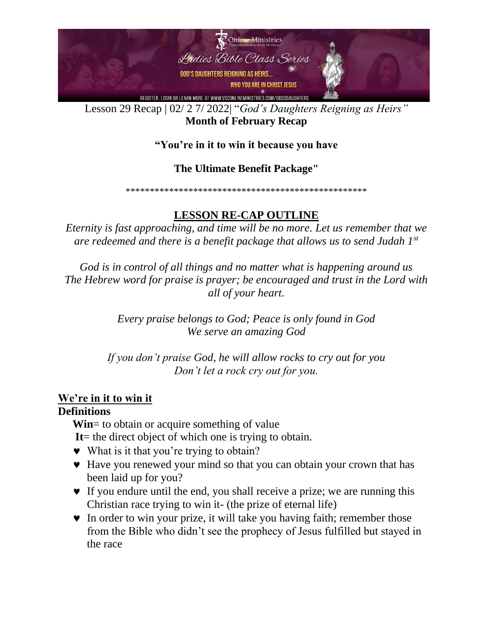

Lesson 29 Recap | 02/ 2 7/ 2022| "*God's Daughters Reigning as Heirs"* **Month of February Recap**

#### **"You're in it to win it because you have**

#### **The Ultimate Benefit Package"**

\*\*\*\*\*\*\*\*\*\*\*\*\*\*\*\*\*\*\*\*\*\*\*\*\*\*\*\*\*\*\*\*\*\*\*\*\*\*\*\*\*\*\*\*\*\*\*\*\*\*

# **LESSON RE-CAP OUTLINE**

*Eternity is fast approaching, and time will be no more. Let us remember that we are redeemed and there is a benefit package that allows us to send Judah 1st*

*God is in control of all things and no matter what is happening around us The Hebrew word for praise is prayer; be encouraged and trust in the Lord with all of your heart.* 

> *Every praise belongs to God; Peace is only found in God We serve an amazing God*

*If you don't praise God, he will allow rocks to cry out for you Don't let a rock cry out for you.*

### **We're in it to win it**

#### **Definitions**

**Win**= to obtain or acquire something of value

**It**= the direct object of which one is trying to obtain.

- What is it that you're trying to obtain?
- Have you renewed your mind so that you can obtain your crown that has been laid up for you?
- If you endure until the end, you shall receive a prize; we are running this Christian race trying to win it- (the prize of eternal life)
- In order to win your prize, it will take you having faith; remember those from the Bible who didn't see the prophecy of Jesus fulfilled but stayed in the race